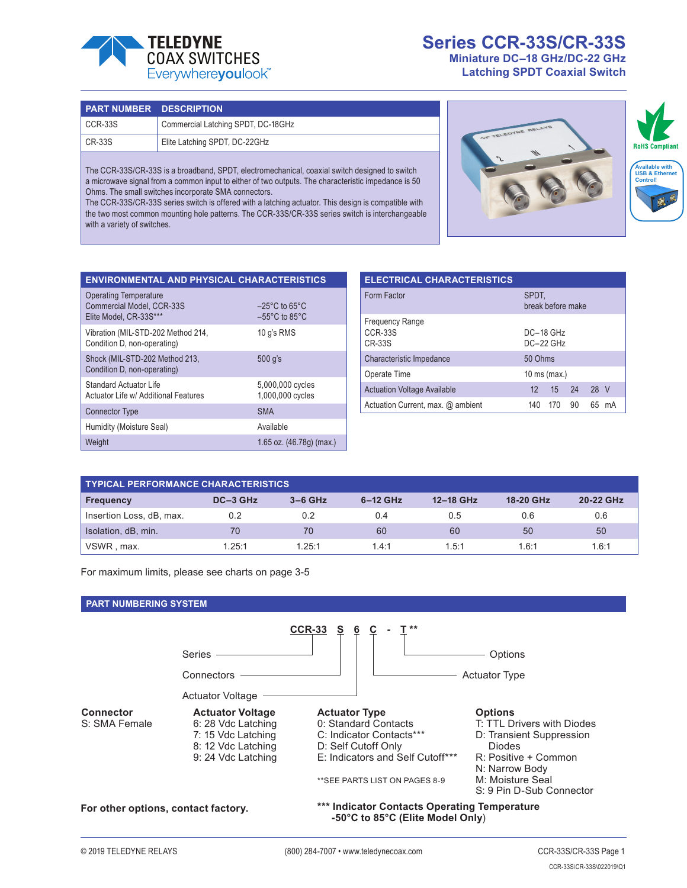

## **Series CCR-33S/CR-33S Miniature DC–18 GHz/DC-22 GHz**

**Latching SPDT Coaxial Switch**

| <b>PART NUMBER DESCRIPTION</b> |                                    |
|--------------------------------|------------------------------------|
| CCR-33S                        | Commercial Latching SPDT, DC-18GHz |
| CR-33S                         | Elite Latching SPDT, DC-22GHz      |

The CCR-33S/CR-33S is a broadband, SPDT, electromechanical, coaxial switch designed to switch a microwave signal from a common input to either of two outputs. The characteristic impedance is 50 Ohms. The small switches incorporate SMA connectors.

The CCR-33S/CR-33S series switch is offered with a latching actuator. This design is compatible with the two most common mounting hole patterns. The CCR-33S/CR-33S series switch is interchangeable with a variety of switches.



| <b>ENVIRONMENTAL AND PHYSICAL CHARACTERISTICS</b>                                          |                                                                          |
|--------------------------------------------------------------------------------------------|--------------------------------------------------------------------------|
| <b>Operating Temperature</b><br><b>Commercial Model, CCR-33S</b><br>Elite Model, CR-33S*** | $-25^{\circ}$ C to 65 $^{\circ}$ C<br>$-55^{\circ}$ C to 85 $^{\circ}$ C |
| Vibration (MIL-STD-202 Method 214,<br>Condition D, non-operating)                          | 10 q's RMS                                                               |
| Shock (MIL-STD-202 Method 213,<br>Condition D, non-operating)                              | 500 q's                                                                  |
| Standard Actuator Life<br>Actuator Life w/ Additional Features                             | 5,000,000 cycles<br>1,000,000 cycles                                     |
| <b>Connector Type</b>                                                                      | <b>SMA</b>                                                               |
| Humidity (Moisture Seal)                                                                   | Available                                                                |
| Weight                                                                                     | 1.65 oz. (46.78g) (max.)                                                 |

| <b>ELECTRICAL CHARACTERISTICS</b>                         |                  |                          |    |      |    |  |
|-----------------------------------------------------------|------------------|--------------------------|----|------|----|--|
| Form Factor                                               | SPDT,            | break before make        |    |      |    |  |
| <b>Frequency Range</b><br><b>CCR-33S</b><br><b>CR-33S</b> |                  | DC-18 GHz<br>$DC-22$ GHz |    |      |    |  |
| Characteristic Impedance                                  | 50 Ohms          |                          |    |      |    |  |
| Operate Time                                              |                  | 10 ms (max.)             |    |      |    |  |
| <b>Actuation Voltage Available</b>                        | 12 <sup>12</sup> | 15                       | 24 | 28 V |    |  |
| Actuation Current, max. @ ambient                         | 140              | 170                      | 90 | 65   | mA |  |

| <b>TYPICAL PERFORMANCE CHARACTERISTICS</b> |          |           |            |           |           |           |  |
|--------------------------------------------|----------|-----------|------------|-----------|-----------|-----------|--|
| <b>Frequency</b>                           | DC-3 GHz | $3-6$ GHz | $6-12$ GHz | 12-18 GHz | 18-20 GHz | 20-22 GHz |  |
| Insertion Loss, dB, max.                   | 0.2      | 0.2       | 0.4        | 0.5       | 0.6       | 0.6       |  |
| Isolation, dB, min.                        | 70       | 70        | 60         | 60        | 50        | 50        |  |
| VSWR, max.                                 | 1.25:1   | 1.25:1    | 1.4:1      | 1.5:1     | 1.6:1     | 1.6:1     |  |

For maximum limits, please see charts on page 3-5

#### **PART NUMBERING SYSTEM**

|                                     |                                                                                                                 | <b>CCR-33</b><br>$\overline{c}$<br>$\underline{6}$                                                                                                                    |                                                                                                                                                                                     |
|-------------------------------------|-----------------------------------------------------------------------------------------------------------------|-----------------------------------------------------------------------------------------------------------------------------------------------------------------------|-------------------------------------------------------------------------------------------------------------------------------------------------------------------------------------|
|                                     | <b>Series</b>                                                                                                   |                                                                                                                                                                       | Options                                                                                                                                                                             |
|                                     | Connectors                                                                                                      |                                                                                                                                                                       | <b>Actuator Type</b>                                                                                                                                                                |
|                                     | <b>Actuator Voltage</b>                                                                                         |                                                                                                                                                                       |                                                                                                                                                                                     |
| <b>Connector</b><br>S: SMA Female   | <b>Actuator Voltage</b><br>6: 28 Vdc Latching<br>7: 15 Vdc Latching<br>8: 12 Vdc Latching<br>9: 24 Vdc Latching | <b>Actuator Type</b><br>0: Standard Contacts<br>C: Indicator Contacts***<br>D: Self Cutoff Only<br>E: Indicators and Self Cutoff***<br>** SEE PARTS LIST ON PAGES 8-9 | <b>Options</b><br>T: TTL Drivers with Diodes<br>D: Transient Suppression<br><b>Diodes</b><br>R: Positive + Common<br>N: Narrow Body<br>M: Moisture Seal<br>S: 9 Pin D-Sub Connector |
| For other options, contact factory. |                                                                                                                 | *** Indicator Contacts Operating Temperature                                                                                                                          |                                                                                                                                                                                     |

 **-50°C to 85°C (Elite Model Only**)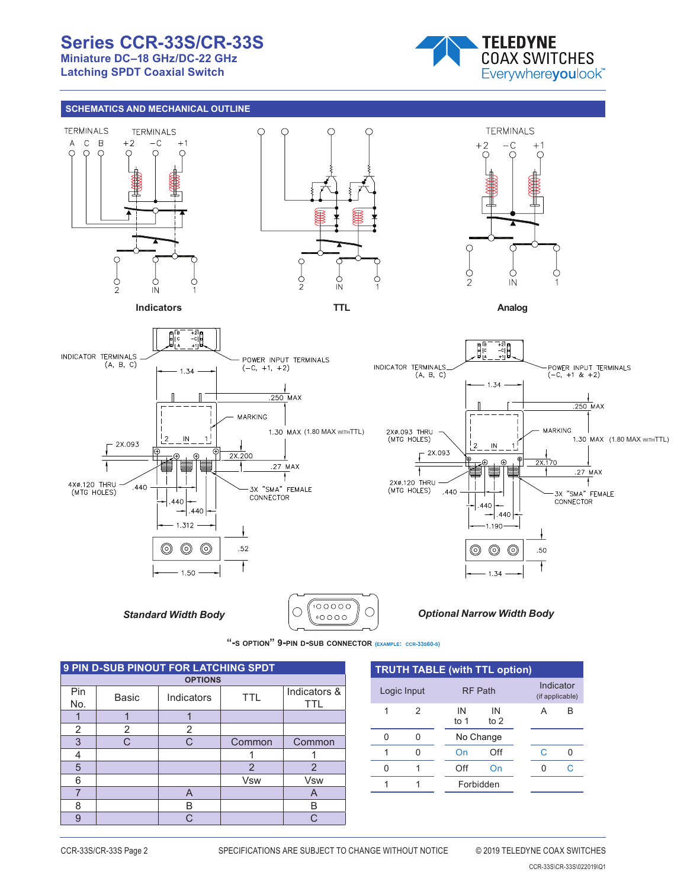# **Series CCR-33S/CR-33S**

**Miniature DC–18 GHz/DC-22 GHz Latching SPDT Coaxial Switch**



#### **SCHEMATICS AND MECHANICAL OUTLINE**



**Indicators**

 $\overline{N}$ 

Ċ





SOLDER WIRE MEDICAL COMPUTER WIRE MAXIMUM OF THE SOLDER WIRE MAXIMUM OF THE SOLDER WIRE MAXIMUM OF THE SOLDER





*Optional Narrow Width Body*



| <b>9 PIN D-SUB PINOUT FOR LATCHING SPDT</b> |              |                |                |                     |  |  |  |
|---------------------------------------------|--------------|----------------|----------------|---------------------|--|--|--|
|                                             |              | <b>OPTIONS</b> |                |                     |  |  |  |
| Pin<br>No.                                  | <b>Basic</b> | Indicators     | TTL            | Indicators &<br>TTL |  |  |  |
|                                             |              |                |                |                     |  |  |  |
| 2                                           | 2            | 2              |                |                     |  |  |  |
| 3                                           | C.           | C.             | Common         | Common              |  |  |  |
| 4                                           |              |                |                |                     |  |  |  |
| 5                                           |              |                | $\overline{2}$ | $\overline{2}$      |  |  |  |
| 6                                           |              |                | <b>Vsw</b>     | <b>Vsw</b>          |  |  |  |
|                                             |              | A              |                | A                   |  |  |  |
| 8                                           |              | B              |                | R                   |  |  |  |
| 9                                           |              | C              |                | ⌒                   |  |  |  |

| <b>TRUTH TABLE (with TTL option)</b> |   |            |                |  |   |                              |  |  |
|--------------------------------------|---|------------|----------------|--|---|------------------------------|--|--|
| Logic Input                          |   |            | <b>RF Path</b> |  |   | Indicator<br>(if applicable) |  |  |
| 1                                    | 2 | IN<br>to 1 | IN<br>to $2$   |  |   | B                            |  |  |
| n                                    |   |            | No Change      |  |   |                              |  |  |
|                                      |   | On         | Off            |  | C | n                            |  |  |
| U                                    |   | Off        | On             |  | n | C.                           |  |  |
|                                      |   |            | Forbidden      |  |   |                              |  |  |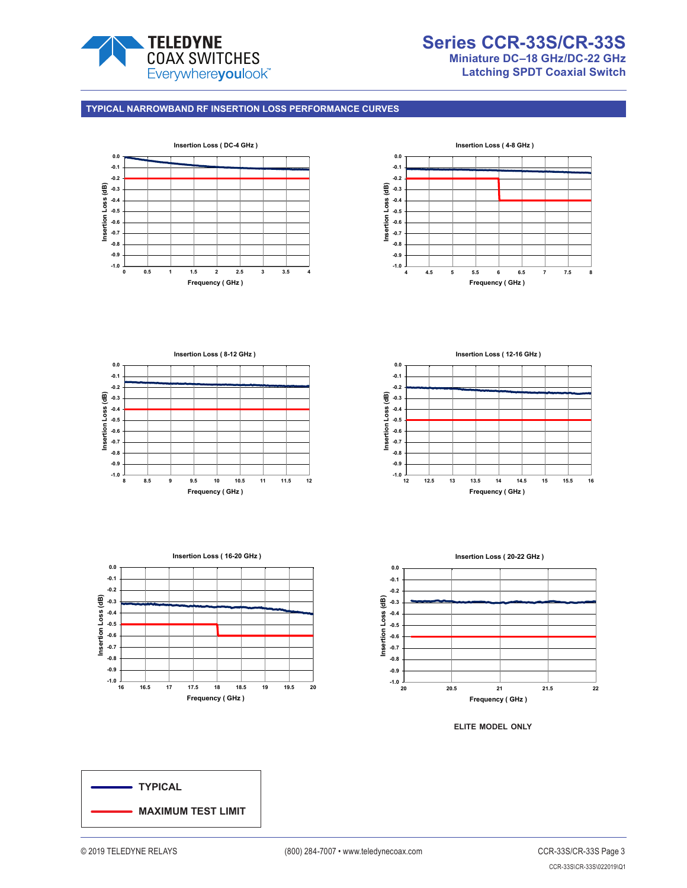

## **Series CCR-33S/CR-33S Miniature DC–18 GHz/DC-22 GHz Latching SPDT Coaxial Switch**

#### **TYPICAL NARROWBAND RF INSERTION LOSS PERFORMANCE CURVES**











**Insertion Loss ( 20-22 GHz )**



**elite model only**

**TYPICAL MAXIMUM TEST LIMIT**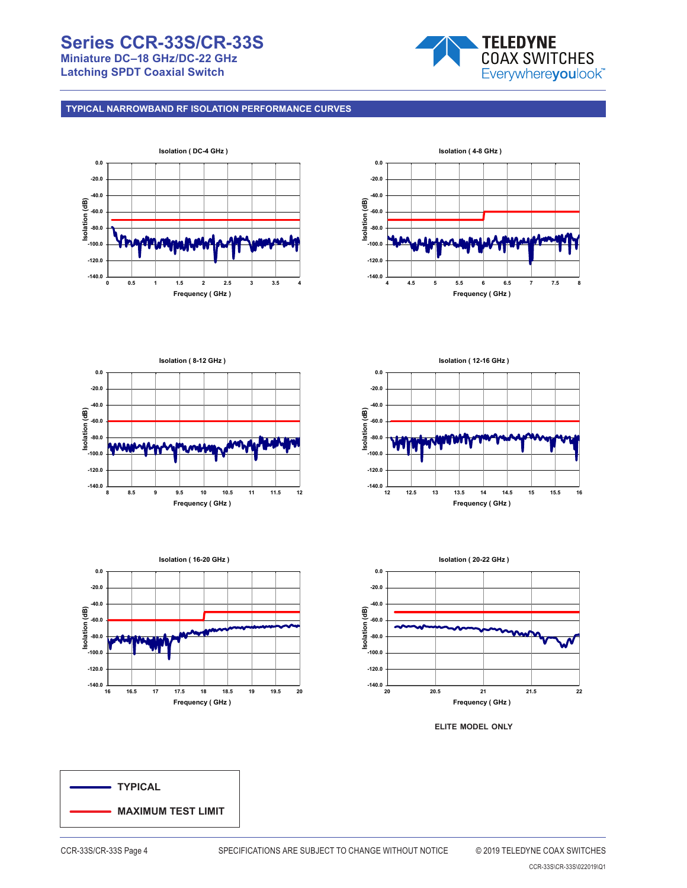# **Series CCR-33S/CR-33S Miniature DC–18 GHz/DC-22 GHz**

**Latching SPDT Coaxial Switch**



**TYPICAL NARROWBAND RF ISOLATION PERFORMANCE CURVES**















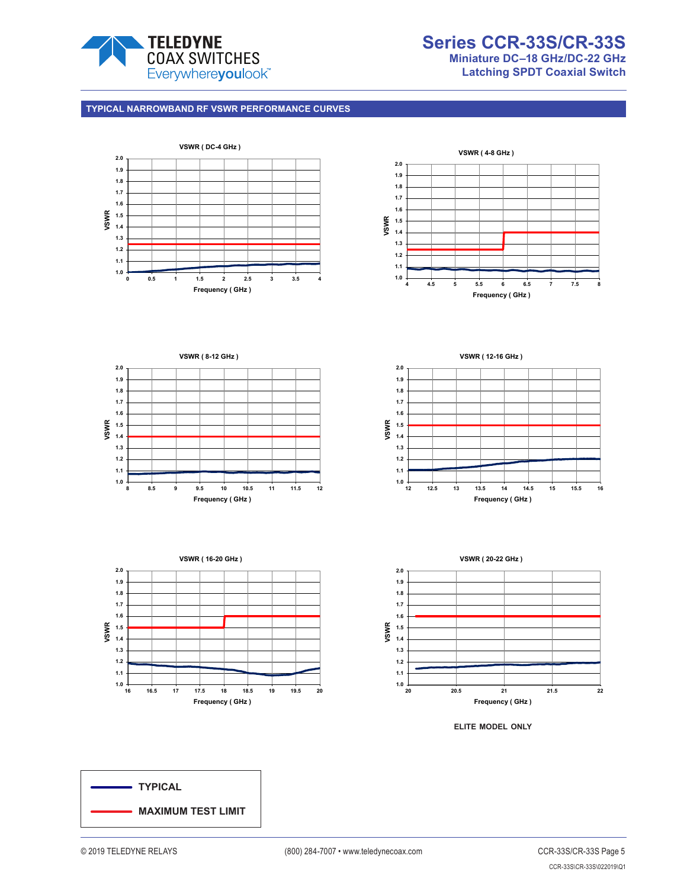

## **Series CCR-33S/CR-33S Miniature DC–18 GHz/DC-22 GHz Latching SPDT Coaxial Switch**

#### **TYPICAL NARROWBAND RF VSWR PERFORMANCE CURVES**









**Frequency ( GHz )**





**elite model only**

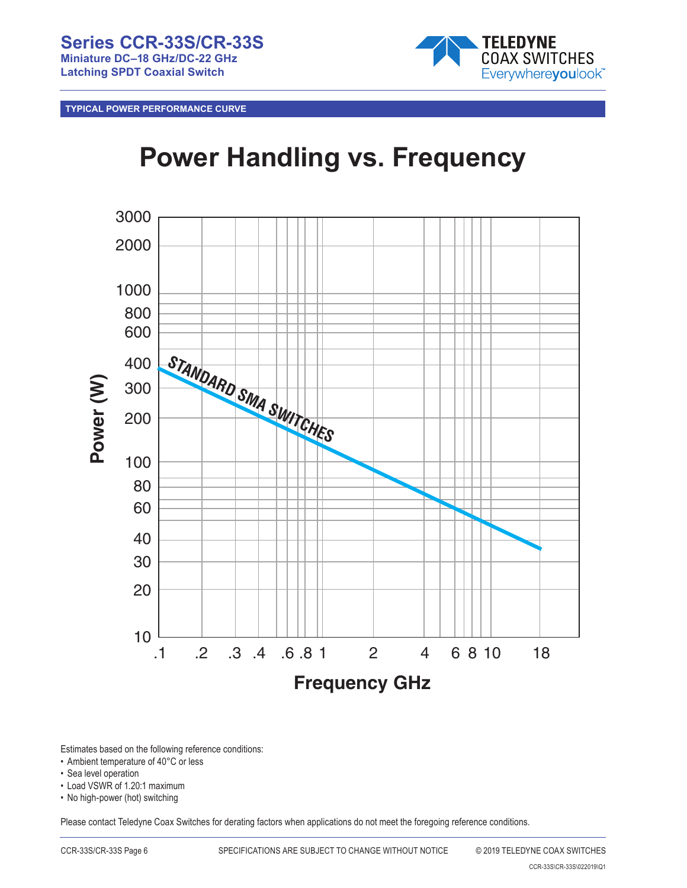

**TYPICAL POWER PERFORMANCE CURVE**

# **Power Handling vs. Frequency**



Estimates based on the following reference conditions:

- Ambient temperature of 40°C or less
- Sea level operation
- Load VSWR of 1.20:1 maximum
- No high-power (hot) switching

Please contact Teledyne Coax Switches for derating factors when applications do not meet the foregoing reference conditions.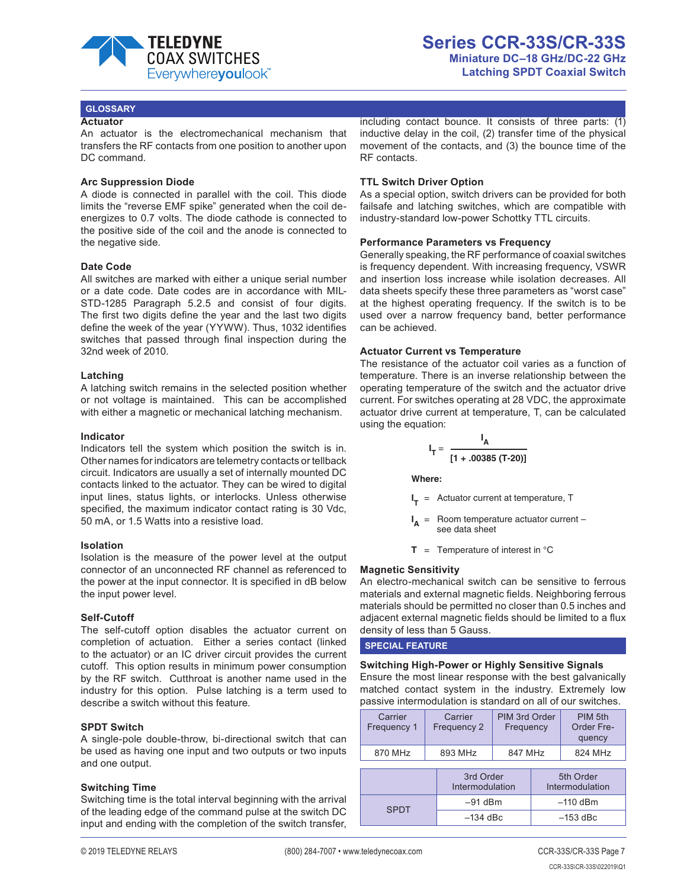

#### **GLOSSARY**

#### **Actuator**

An actuator is the electromechanical mechanism that transfers the RF contacts from one position to another upon DC command.

#### **Arc Suppression Diode**

A diode is connected in parallel with the coil. This diode limits the "reverse EMF spike" generated when the coil deenergizes to 0.7 volts. The diode cathode is connected to the positive side of the coil and the anode is connected to the negative side.

#### **Date Code**

All switches are marked with either a unique serial number or a date code. Date codes are in accordance with MIL-STD-1285 Paragraph 5.2.5 and consist of four digits. The first two digits define the year and the last two digits define the week of the year (YYWW). Thus, 1032 identifies switches that passed through final inspection during the 32nd week of 2010.

#### **Latching**

A latching switch remains in the selected position whether or not voltage is maintained. This can be accomplished with either a magnetic or mechanical latching mechanism.

#### **Indicator**

Indicators tell the system which position the switch is in. Other names for indicators are telemetry contacts or tellback circuit. Indicators are usually a set of internally mounted DC contacts linked to the actuator. They can be wired to digital input lines, status lights, or interlocks. Unless otherwise specified, the maximum indicator contact rating is 30 Vdc, 50 mA, or 1.5 Watts into a resistive load.

#### **Isolation**

Isolation is the measure of the power level at the output connector of an unconnected RF channel as referenced to the power at the input connector. It is specified in dB below the input power level.

#### **Self-Cutoff**

The self-cutoff option disables the actuator current on completion of actuation. Either a series contact (linked to the actuator) or an IC driver circuit provides the current cutoff. This option results in minimum power consumption by the RF switch. Cutthroat is another name used in the industry for this option. Pulse latching is a term used to describe a switch without this feature.

#### **SPDT Switch**

A single-pole double-throw, bi-directional switch that can be used as having one input and two outputs or two inputs and one output.

#### **Switching Time**

Switching time is the total interval beginning with the arrival of the leading edge of the command pulse at the switch DC input and ending with the completion of the switch transfer,

including contact bounce. It consists of three parts: (1) inductive delay in the coil, (2) transfer time of the physical movement of the contacts, and (3) the bounce time of the RF contacts.

#### **TTL Switch Driver Option**

As a special option, switch drivers can be provided for both failsafe and latching switches, which are compatible with industry-standard low-power Schottky TTL circuits.

#### **Performance Parameters vs Frequency**

Generally speaking, the RF performance of coaxial switches is frequency dependent. With increasing frequency, VSWR and insertion loss increase while isolation decreases. All data sheets specify these three parameters as "worst case" at the highest operating frequency. If the switch is to be used over a narrow frequency band, better performance can be achieved.

#### **Actuator Current vs Temperature**

The resistance of the actuator coil varies as a function of temperature. There is an inverse relationship between the operating temperature of the switch and the actuator drive current. For switches operating at 28 VDC, the approximate actuator drive current at temperature, T, can be calculated using the equation:

$$
I_T = \frac{I_A}{[1 + .00385 (T-20)]}
$$

**Where:**

**I <sup>T</sup>** = Actuator current at temperature, T

 $I_A$  = Room temperature actuator current – see data sheet

 $T =$  Temperature of interest in  ${}^{\circ}C$ 

#### **Magnetic Sensitivity**

An electro-mechanical switch can be sensitive to ferrous materials and external magnetic fields. Neighboring ferrous materials should be permitted no closer than 0.5 inches and adjacent external magnetic fields should be limited to a flux density of less than 5 Gauss.

**SPECIAL FEATURE**

**Switching High-Power or Highly Sensitive Signals** Ensure the most linear response with the best galvanically matched contact system in the industry. Extremely low passive intermodulation is standard on all of our switches.

| Carrier<br>Frequency 1 | Carrier<br>Frequency 2 | PIM 3rd Order<br>Frequency | PIM 5th<br>Order Fre-<br>quency |
|------------------------|------------------------|----------------------------|---------------------------------|
| 870 MHz                | 893 MHz                | 847 MHz                    | 824 MHz                         |
|                        |                        |                            |                                 |

|             | 3rd Order<br>Intermodulation | 5th Order<br>Intermodulation |
|-------------|------------------------------|------------------------------|
| <b>SPDT</b> | $-91$ dBm                    | $-110$ dBm                   |
|             | $-134$ dBc                   | $-153$ dBc                   |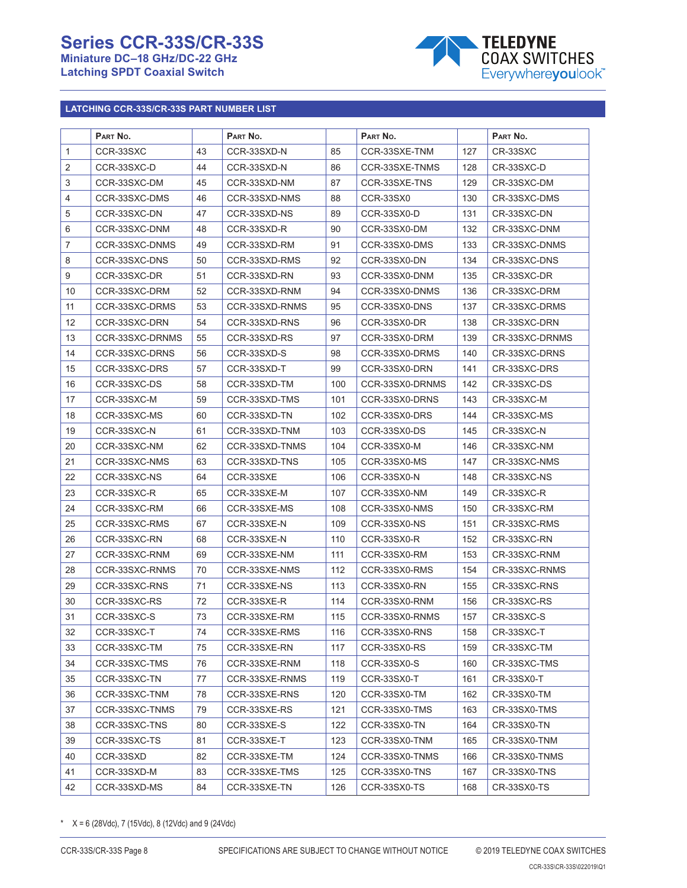# **Series CCR-33S/CR-33S**

**Miniature DC–18 GHz/DC-22 GHz Latching SPDT Coaxial Switch**



## **LATCHING CCR-33S/CR-33S PART NUMBER LIST**

|                | PART NO.        |    | PART NO.       |     | PART No.        |     | PART No.       |
|----------------|-----------------|----|----------------|-----|-----------------|-----|----------------|
| $\mathbf{1}$   | CCR-33SXC       | 43 | CCR-33SXD-N    | 85  | CCR-33SXE-TNM   | 127 | CR-33SXC       |
| $\overline{2}$ | CCR-33SXC-D     | 44 | CCR-33SXD-N    | 86  | CCR-33SXE-TNMS  | 128 | CR-33SXC-D     |
| 3              | CCR-33SXC-DM    | 45 | CCR-33SXD-NM   | 87  | CCR-33SXE-TNS   | 129 | CR-33SXC-DM    |
| 4              | CCR-33SXC-DMS   | 46 | CCR-33SXD-NMS  | 88  | CCR-33SX0       | 130 | CR-33SXC-DMS   |
| 5              | CCR-33SXC-DN    | 47 | CCR-33SXD-NS   | 89  | CCR-33SX0-D     | 131 | CR-33SXC-DN    |
| 6              | CCR-33SXC-DNM   | 48 | CCR-33SXD-R    | 90  | CCR-33SX0-DM    | 132 | CR-33SXC-DNM   |
| 7              | CCR-33SXC-DNMS  | 49 | CCR-33SXD-RM   | 91  | CCR-33SX0-DMS   | 133 | CR-33SXC-DNMS  |
| 8              | CCR-33SXC-DNS   | 50 | CCR-33SXD-RMS  | 92  | CCR-33SX0-DN    | 134 | CR-33SXC-DNS   |
| $9$            | CCR-33SXC-DR    | 51 | CCR-33SXD-RN   | 93  | CCR-33SX0-DNM   | 135 | CR-33SXC-DR    |
| 10             | CCR-33SXC-DRM   | 52 | CCR-33SXD-RNM  | 94  | CCR-33SX0-DNMS  | 136 | CR-33SXC-DRM   |
| 11             | CCR-33SXC-DRMS  | 53 | CCR-33SXD-RNMS | 95  | CCR-33SX0-DNS   | 137 | CR-33SXC-DRMS  |
| 12             | CCR-33SXC-DRN   | 54 | CCR-33SXD-RNS  | 96  | CCR-33SX0-DR    | 138 | CR-33SXC-DRN   |
| 13             | CCR-33SXC-DRNMS | 55 | CCR-33SXD-RS   | 97  | CCR-33SX0-DRM   | 139 | CR-33SXC-DRNMS |
| 14             | CCR-33SXC-DRNS  | 56 | CCR-33SXD-S    | 98  | CCR-33SX0-DRMS  | 140 | CR-33SXC-DRNS  |
| 15             | CCR-33SXC-DRS   | 57 | CCR-33SXD-T    | 99  | CCR-33SX0-DRN   | 141 | CR-33SXC-DRS   |
| 16             | CCR-33SXC-DS    | 58 | CCR-33SXD-TM   | 100 | CCR-33SX0-DRNMS | 142 | CR-33SXC-DS    |
| 17             | CCR-33SXC-M     | 59 | CCR-33SXD-TMS  | 101 | CCR-33SX0-DRNS  | 143 | CR-33SXC-M     |
| 18             | CCR-33SXC-MS    | 60 | CCR-33SXD-TN   | 102 | CCR-33SX0-DRS   | 144 | CR-33SXC-MS    |
| 19             | CCR-33SXC-N     | 61 | CCR-33SXD-TNM  | 103 | CCR-33SX0-DS    | 145 | CR-33SXC-N     |
| 20             | CCR-33SXC-NM    | 62 | CCR-33SXD-TNMS | 104 | CCR-33SX0-M     | 146 | CR-33SXC-NM    |
| 21             | CCR-33SXC-NMS   | 63 | CCR-33SXD-TNS  | 105 | CCR-33SX0-MS    | 147 | CR-33SXC-NMS   |
| 22             | CCR-33SXC-NS    | 64 | CCR-33SXE      | 106 | CCR-33SX0-N     | 148 | CR-33SXC-NS    |
| 23             | CCR-33SXC-R     | 65 | CCR-33SXE-M    | 107 | CCR-33SX0-NM    | 149 | CR-33SXC-R     |
| 24             | CCR-33SXC-RM    | 66 | CCR-33SXE-MS   | 108 | CCR-33SX0-NMS   | 150 | CR-33SXC-RM    |
| 25             | CCR-33SXC-RMS   | 67 | CCR-33SXE-N    | 109 | CCR-33SX0-NS    | 151 | CR-33SXC-RMS   |
| 26             | CCR-33SXC-RN    | 68 | CCR-33SXE-N    | 110 | CCR-33SX0-R     | 152 | CR-33SXC-RN    |
| 27             | CCR-33SXC-RNM   | 69 | CCR-33SXE-NM   | 111 | CCR-33SX0-RM    | 153 | CR-33SXC-RNM   |
| 28             | CCR-33SXC-RNMS  | 70 | CCR-33SXE-NMS  | 112 | CCR-33SX0-RMS   | 154 | CR-33SXC-RNMS  |
| 29             | CCR-33SXC-RNS   | 71 | CCR-33SXE-NS   | 113 | CCR-33SX0-RN    | 155 | CR-33SXC-RNS   |
| 30             | CCR-33SXC-RS    | 72 | CCR-33SXE-R    | 114 | CCR-33SX0-RNM   | 156 | CR-33SXC-RS    |
| 31             | CCR-33SXC-S     | 73 | CCR-33SXE-RM   | 115 | CCR-33SX0-RNMS  | 157 | CR-33SXC-S     |
| 32             | CCR-33SXC-T     | 74 | CCR-33SXE-RMS  | 116 | CCR-33SX0-RNS   | 158 | CR-33SXC-T     |
| 33             | CCR-33SXC-TM    | 75 | CCR-33SXE-RN   | 117 | CCR-33SX0-RS    | 159 | CR-33SXC-TM    |
| 34             | CCR-33SXC-TMS   | 76 | CCR-33SXE-RNM  | 118 | CCR-33SX0-S     | 160 | CR-33SXC-TMS   |
| 35             | CCR-33SXC-TN    | 77 | CCR-33SXE-RNMS | 119 | CCR-33SX0-T     | 161 | CR-33SX0-T     |
| 36             | CCR-33SXC-TNM   | 78 | CCR-33SXE-RNS  | 120 | CCR-33SX0-TM    | 162 | CR-33SX0-TM    |
| 37             | CCR-33SXC-TNMS  | 79 | CCR-33SXE-RS   | 121 | CCR-33SX0-TMS   | 163 | CR-33SX0-TMS   |
| 38             | CCR-33SXC-TNS   | 80 | CCR-33SXE-S    | 122 | CCR-33SX0-TN    | 164 | CR-33SX0-TN    |
| 39             | CCR-33SXC-TS    | 81 | CCR-33SXE-T    | 123 | CCR-33SX0-TNM   | 165 | CR-33SX0-TNM   |
| 40             | CCR-33SXD       | 82 | CCR-33SXE-TM   | 124 | CCR-33SX0-TNMS  | 166 | CR-33SX0-TNMS  |
| 41             | CCR-33SXD-M     | 83 | CCR-33SXE-TMS  | 125 | CCR-33SX0-TNS   | 167 | CR-33SX0-TNS   |
| 42             | CCR-33SXD-MS    | 84 | CCR-33SXE-TN   | 126 | CCR-33SX0-TS    | 168 | CR-33SX0-TS    |

\*  $X = 6$  (28Vdc), 7 (15Vdc), 8 (12Vdc) and 9 (24Vdc)